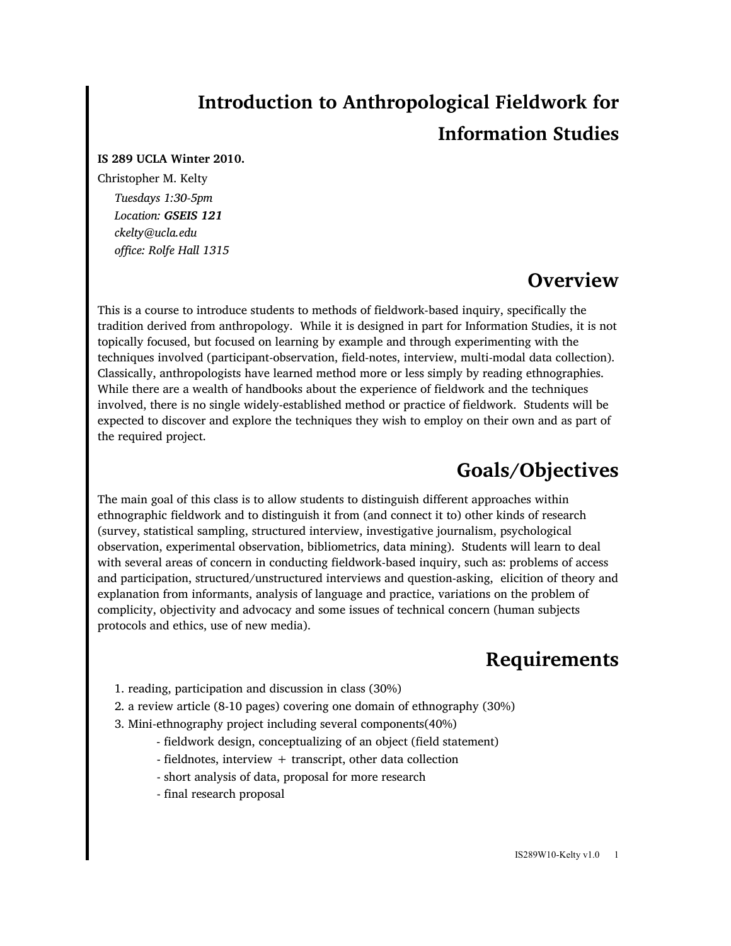# **Introduction to Anthropological Fieldwork for Information Studies**

#### **IS 289 UCLA Winter 2010.**

Christopher M. Kelty *Tuesdays 1:30-5pm Location: GSEIS 121 ckelty@ucla.edu office: Rolfe Hall 1315*

### **Overview**

This is a course to introduce students to methods of fieldwork-based inquiry, specifically the tradition derived from anthropology. While it is designed in part for Information Studies, it is not topically focused, but focused on learning by example and through experimenting with the techniques involved (participant-observation, field-notes, interview, multi-modal data collection). Classically, anthropologists have learned method more or less simply by reading ethnographies. While there are a wealth of handbooks about the experience of fieldwork and the techniques involved, there is no single widely-established method or practice of fieldwork. Students will be expected to discover and explore the techniques they wish to employ on their own and as part of the required project.

## **Goals/Objectives**

The main goal of this class is to allow students to distinguish different approaches within ethnographic fieldwork and to distinguish it from (and connect it to) other kinds of research (survey, statistical sampling, structured interview, investigative journalism, psychological observation, experimental observation, bibliometrics, data mining). Students will learn to deal with several areas of concern in conducting fieldwork-based inquiry, such as: problems of access and participation, structured/unstructured interviews and question-asking, elicition of theory and explanation from informants, analysis of language and practice, variations on the problem of complicity, objectivity and advocacy and some issues of technical concern (human subjects protocols and ethics, use of new media).

### **Requirements**

- 1. reading, participation and discussion in class (30%)
- 2. a review article (8-10 pages) covering one domain of ethnography (30%)
- 3. Mini-ethnography project including several components(40%)
	- fieldwork design, conceptualizing of an object (field statement)
	- fieldnotes, interview + transcript, other data collection
	- short analysis of data, proposal for more research
	- final research proposal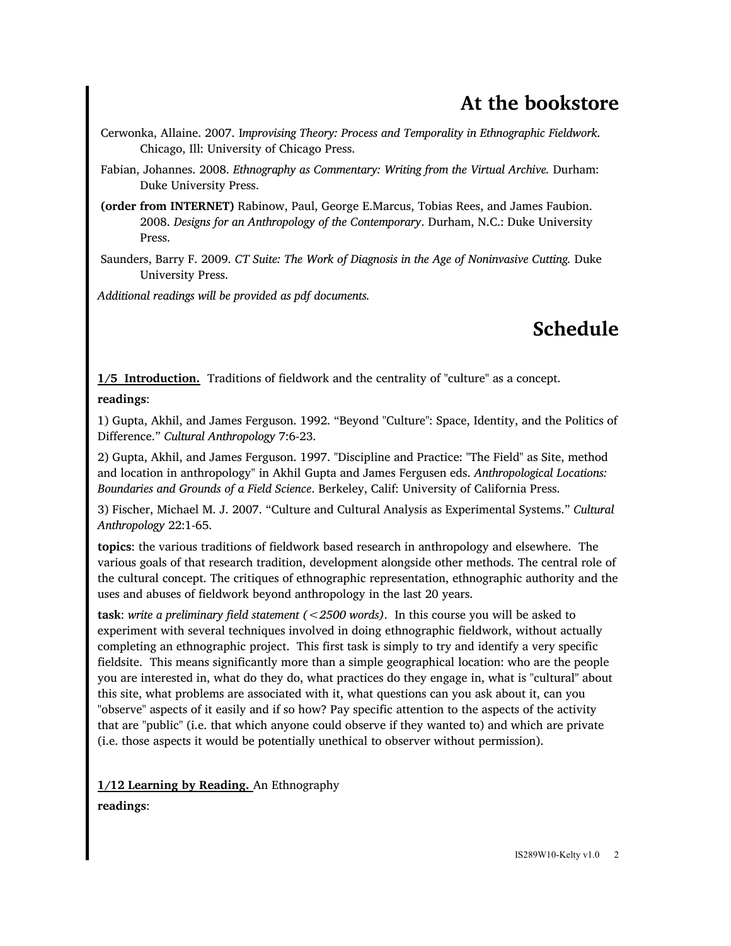## **At the bookstore**

- Cerwonka, Allaine. 2007. I*mprovising Theory: Process and Temporality in Ethnographic Fieldwork.* Chicago, Ill: University of Chicago Press.
- Fabian, Johannes. 2008. *Ethnography as Commentary: Writing from the Virtual Archive.* Durham: Duke University Press.
- **(order from INTERNET)** Rabinow, Paul, George E.Marcus, Tobias Rees, and James Faubion. 2008. *Designs for an Anthropology of the Contemporary*. Durham, N.C.: Duke University Press.
- Saunders, Barry F. 2009. *CT Suite: The Work of Diagnosis in the Age of Noninvasive Cutting.* Duke University Press.

*Additional readings will be provided as pdf documents.*

# **Schedule**

**1/5 Introduction.** Traditions of fieldwork and the centrality of "culture" as a concept.

#### **readings**:

1) Gupta, Akhil, and James Ferguson. 1992. "Beyond "Culture": Space, Identity, and the Politics of Difference." *Cultural Anthropology* 7:6-23.

2) Gupta, Akhil, and James Ferguson. 1997. "Discipline and Practice: "The Field" as Site, method and location in anthropology" in Akhil Gupta and James Fergusen eds. *Anthropological Locations: Boundaries and Grounds of a Field Science*. Berkeley, Calif: University of California Press.

3) Fischer, Michael M. J. 2007. "Culture and Cultural Analysis as Experimental Systems." *Cultural Anthropology* 22:1-65.

**topics**: the various traditions of fieldwork based research in anthropology and elsewhere. The various goals of that research tradition, development alongside other methods. The central role of the cultural concept. The critiques of ethnographic representation, ethnographic authority and the uses and abuses of fieldwork beyond anthropology in the last 20 years.

**task**: *write a preliminary field statement (<2500 words)*. In this course you will be asked to experiment with several techniques involved in doing ethnographic fieldwork, without actually completing an ethnographic project. This first task is simply to try and identify a very specific fieldsite. This means significantly more than a simple geographical location: who are the people you are interested in, what do they do, what practices do they engage in, what is "cultural" about this site, what problems are associated with it, what questions can you ask about it, can you "observe" aspects of it easily and if so how? Pay specific attention to the aspects of the activity that are "public" (i.e. that which anyone could observe if they wanted to) and which are private (i.e. those aspects it would be potentially unethical to observer without permission).

### **1/12 Learning by Reading.** An Ethnography

**readings**: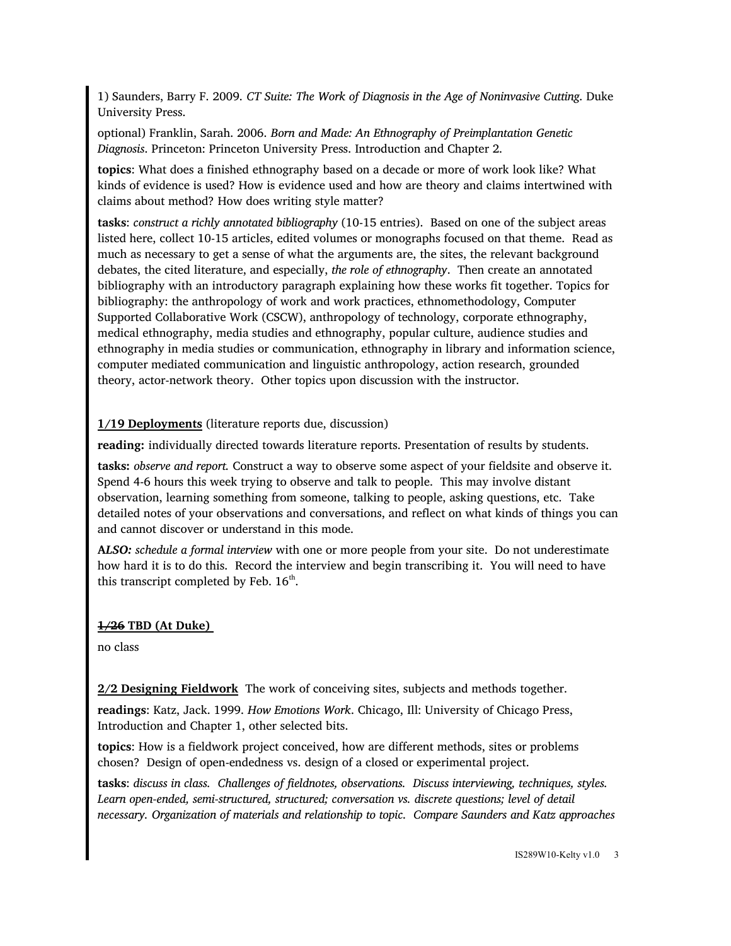1) Saunders, Barry F. 2009. *CT Suite: The Work of Diagnosis in the Age of Noninvasive Cutting*. Duke University Press.

optional) Franklin, Sarah. 2006. *Born and Made: An Ethnography of Preimplantation Genetic Diagnosis*. Princeton: Princeton University Press. Introduction and Chapter 2.

**topics**: What does a finished ethnography based on a decade or more of work look like? What kinds of evidence is used? How is evidence used and how are theory and claims intertwined with claims about method? How does writing style matter?

**tasks**: *construct a richly annotated bibliography* (10-15 entries). Based on one of the subject areas listed here, collect 10-15 articles, edited volumes or monographs focused on that theme. Read as much as necessary to get a sense of what the arguments are, the sites, the relevant background debates, the cited literature, and especially, *the role of ethnography*. Then create an annotated bibliography with an introductory paragraph explaining how these works fit together. Topics for bibliography: the anthropology of work and work practices, ethnomethodology, Computer Supported Collaborative Work (CSCW), anthropology of technology, corporate ethnography, medical ethnography, media studies and ethnography, popular culture, audience studies and ethnography in media studies or communication, ethnography in library and information science, computer mediated communication and linguistic anthropology, action research, grounded theory, actor-network theory. Other topics upon discussion with the instructor.

**1/19 Deployments** (literature reports due, discussion)

**reading:** individually directed towards literature reports. Presentation of results by students.

**tasks:** *observe and report.* Construct a way to observe some aspect of your fieldsite and observe it. Spend 4-6 hours this week trying to observe and talk to people. This may involve distant observation, learning something from someone, talking to people, asking questions, etc. Take detailed notes of your observations and conversations, and reflect on what kinds of things you can and cannot discover or understand in this mode.

**A***LSO: schedule a formal interview* with one or more people from your site. Do not underestimate how hard it is to do this. Record the interview and begin transcribing it. You will need to have this transcript completed by Feb.  $16<sup>th</sup>$ .

#### **1/26 TBD (At Duke)**

no class

**2/2 Designing Fieldwork** The work of conceiving sites, subjects and methods together.

**readings**: Katz, Jack. 1999. *How Emotions Work*. Chicago, Ill: University of Chicago Press, Introduction and Chapter 1, other selected bits.

**topics**: How is a fieldwork project conceived, how are different methods, sites or problems chosen? Design of open-endedness vs. design of a closed or experimental project.

**tasks**: *discuss in class. Challenges of fieldnotes, observations. Discuss interviewing, techniques, styles. Learn open-ended, semi-structured, structured; conversation vs. discrete questions; level of detail necessary. Organization of materials and relationship to topic. Compare Saunders and Katz approaches*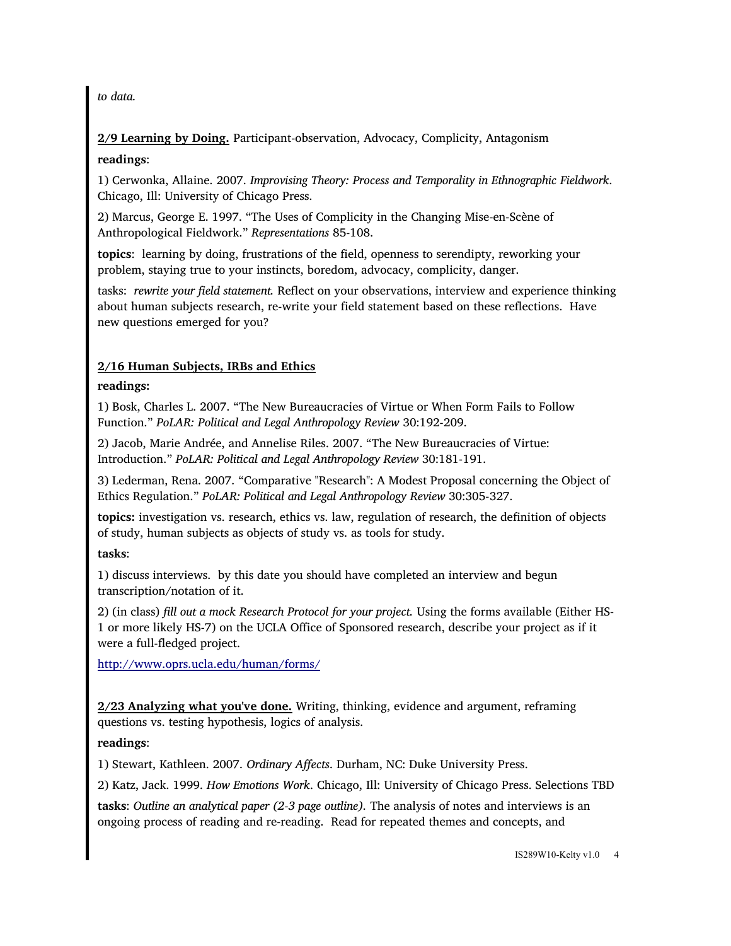*to data.*

**2/9 Learning by Doing.** Participant-observation, Advocacy, Complicity, Antagonism

#### **readings**:

1) Cerwonka, Allaine. 2007. *Improvising Theory: Process and Temporality in Ethnographic Fieldwork*. Chicago, Ill: University of Chicago Press.

2) Marcus, George E. 1997. "The Uses of Complicity in the Changing Mise-en-Scène of Anthropological Fieldwork." *Representations* 85-108.

**topics**: learning by doing, frustrations of the field, openness to serendipty, reworking your problem, staying true to your instincts, boredom, advocacy, complicity, danger.

tasks: *rewrite your field statement.* Reflect on your observations, interview and experience thinking about human subjects research, re-write your field statement based on these reflections. Have new questions emerged for you?

### **2/16 Human Subjects, IRBs and Ethics**

#### **readings:**

1) Bosk, Charles L. 2007. "The New Bureaucracies of Virtue or When Form Fails to Follow Function." *PoLAR: Political and Legal Anthropology Review* 30:192-209.

2) Jacob, Marie Andrée, and Annelise Riles. 2007. "The New Bureaucracies of Virtue: Introduction." *PoLAR: Political and Legal Anthropology Review* 30:181-191.

3) Lederman, Rena. 2007. "Comparative "Research": A Modest Proposal concerning the Object of Ethics Regulation." *PoLAR: Political and Legal Anthropology Review* 30:305-327.

**topics:** investigation vs. research, ethics vs. law, regulation of research, the definition of objects of study, human subjects as objects of study vs. as tools for study.

#### **tasks**:

1) discuss interviews. by this date you should have completed an interview and begun transcription/notation of it.

2) (in class) *fill out a mock Research Protocol for your project.* Using the forms available (Either HS-1 or more likely HS-7) on the UCLA Office of Sponsored research, describe your project as if it were a full-fledged project.

<http://www.oprs.ucla.edu/human/forms/>

**2/23 Analyzing what you've done.** Writing, thinking, evidence and argument, reframing questions vs. testing hypothesis, logics of analysis.

### **readings**:

1) Stewart, Kathleen. 2007. *Ordinary Affects*. Durham, NC: Duke University Press.

2) Katz, Jack. 1999. *How Emotions Work*. Chicago, Ill: University of Chicago Press. Selections TBD

**tasks**: *Outline an analytical paper (2-3 page outline).* The analysis of notes and interviews is an ongoing process of reading and re-reading. Read for repeated themes and concepts, and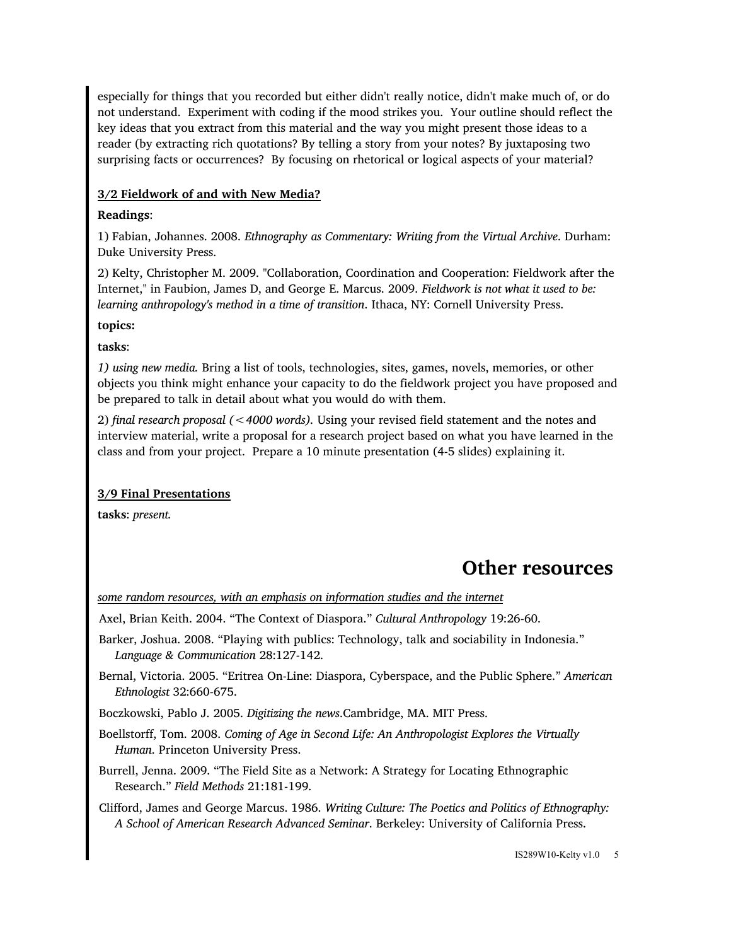especially for things that you recorded but either didn't really notice, didn't make much of, or do not understand. Experiment with coding if the mood strikes you. Your outline should reflect the key ideas that you extract from this material and the way you might present those ideas to a reader (by extracting rich quotations? By telling a story from your notes? By juxtaposing two surprising facts or occurrences? By focusing on rhetorical or logical aspects of your material?

### **3/2 Fieldwork of and with New Media?**

#### **Readings**:

1) Fabian, Johannes. 2008. *Ethnography as Commentary: Writing from the Virtual Archive*. Durham: Duke University Press.

2) Kelty, Christopher M. 2009. "Collaboration, Coordination and Cooperation: Fieldwork after the Internet," in Faubion, James D, and George E. Marcus. 2009. *Fieldwork is not what it used to be: learning anthropology's method in a time of transition*. Ithaca, NY: Cornell University Press.

### **topics:**

#### **tasks**:

*1) using new media.* Bring a list of tools, technologies, sites, games, novels, memories, or other objects you think might enhance your capacity to do the fieldwork project you have proposed and be prepared to talk in detail about what you would do with them.

2) *final research proposal (<4000 words).* Using your revised field statement and the notes and interview material, write a proposal for a research project based on what you have learned in the class and from your project. Prepare a 10 minute presentation (4-5 slides) explaining it.

#### **3/9 Final Presentations**

**tasks**: *present.*

### **Other resources**

*some random resources, with an emphasis on information studies and the internet*

Axel, Brian Keith. 2004. "The Context of Diaspora." *Cultural Anthropology* 19:26-60.

- Barker, Joshua. 2008. "Playing with publics: Technology, talk and sociability in Indonesia." *Language & Communication* 28:127-142.
- Bernal, Victoria. 2005. "Eritrea On-Line: Diaspora, Cyberspace, and the Public Sphere." *American Ethnologist* 32:660-675.

Boczkowski, Pablo J. 2005. *Digitizing the news*.Cambridge, MA. MIT Press.

- Boellstorff, Tom. 2008. *Coming of Age in Second Life: An Anthropologist Explores the Virtually Human*. Princeton University Press.
- Burrell, Jenna. 2009. "The Field Site as a Network: A Strategy for Locating Ethnographic Research." *Field Methods* 21:181-199.

Clifford, James and George Marcus. 1986. *Writing Culture: The Poetics and Politics of Ethnography: A School of American Research Advanced Seminar*. Berkeley: University of California Press.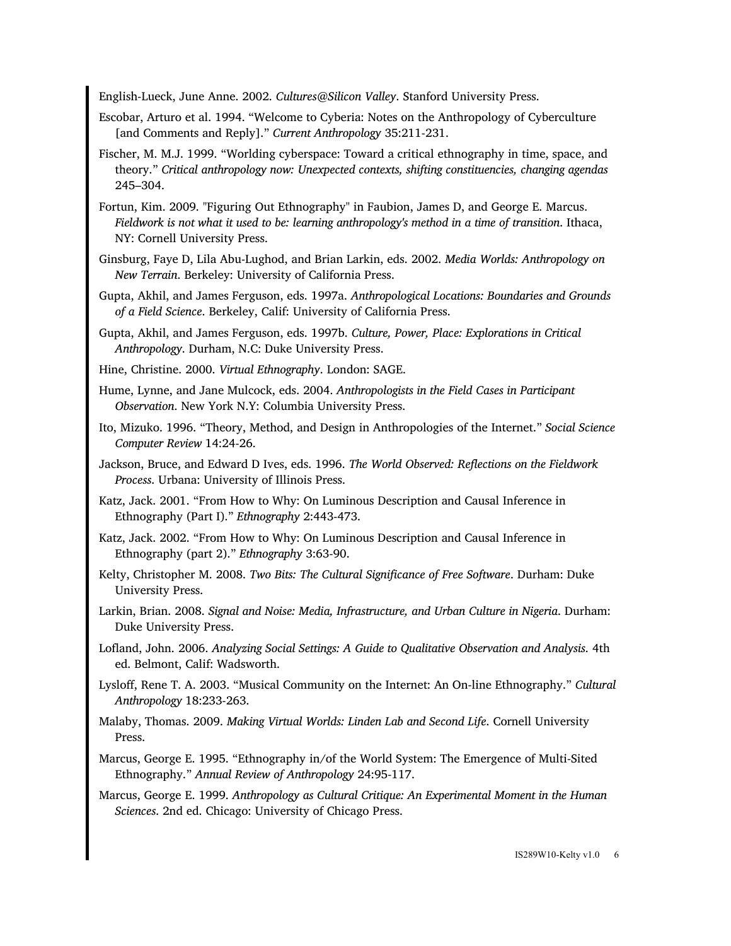English-Lueck, June Anne. 2002. *Cultures@Silicon Valley*. Stanford University Press.

- Escobar, Arturo et al. 1994. "Welcome to Cyberia: Notes on the Anthropology of Cyberculture [and Comments and Reply]." *Current Anthropology* 35:211-231.
- Fischer, M. M.J. 1999. "Worlding cyberspace: Toward a critical ethnography in time, space, and theory." *Critical anthropology now: Unexpected contexts, shifting constituencies, changing agendas* 245–304.
- Fortun, Kim. 2009. "Figuring Out Ethnography" in Faubion, James D, and George E. Marcus. *Fieldwork is not what it used to be: learning anthropology's method in a time of transition*. Ithaca, NY: Cornell University Press.
- Ginsburg, Faye D, Lila Abu-Lughod, and Brian Larkin, eds. 2002. *Media Worlds: Anthropology on New Terrain*. Berkeley: University of California Press.
- Gupta, Akhil, and James Ferguson, eds. 1997a. *Anthropological Locations: Boundaries and Grounds of a Field Science*. Berkeley, Calif: University of California Press.
- Gupta, Akhil, and James Ferguson, eds. 1997b. *Culture, Power, Place: Explorations in Critical Anthropology*. Durham, N.C: Duke University Press.
- Hine, Christine. 2000. *Virtual Ethnography*. London: SAGE.
- Hume, Lynne, and Jane Mulcock, eds. 2004. *Anthropologists in the Field Cases in Participant Observation*. New York N.Y: Columbia University Press.
- Ito, Mizuko. 1996. "Theory, Method, and Design in Anthropologies of the Internet." *Social Science Computer Review* 14:24-26.
- Jackson, Bruce, and Edward D Ives, eds. 1996. *The World Observed: Reflections on the Fieldwork Process*. Urbana: University of Illinois Press.
- Katz, Jack. 2001. "From How to Why: On Luminous Description and Causal Inference in Ethnography (Part I)." *Ethnography* 2:443-473.
- Katz, Jack. 2002. "From How to Why: On Luminous Description and Causal Inference in Ethnography (part 2)." *Ethnography* 3:63-90.
- Kelty, Christopher M. 2008. *Two Bits: The Cultural Significance of Free Software*. Durham: Duke University Press.
- Larkin, Brian. 2008. *Signal and Noise: Media, Infrastructure, and Urban Culture in Nigeria*. Durham: Duke University Press.
- Lofland, John. 2006. *Analyzing Social Settings: A Guide to Qualitative Observation and Analysis*. 4th ed. Belmont, Calif: Wadsworth.
- Lysloff, Rene T. A. 2003. "Musical Community on the Internet: An On-line Ethnography." *Cultural Anthropology* 18:233-263.
- Malaby, Thomas. 2009. *Making Virtual Worlds: Linden Lab and Second Life*. Cornell University Press.
- Marcus, George E. 1995. "Ethnography in/of the World System: The Emergence of Multi-Sited Ethnography." *Annual Review of Anthropology* 24:95-117.
- Marcus, George E. 1999. *Anthropology as Cultural Critique: An Experimental Moment in the Human Sciences*. 2nd ed. Chicago: University of Chicago Press.